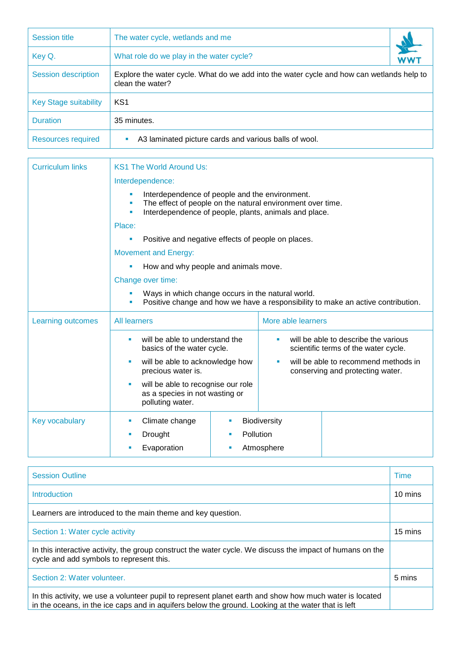| <b>Session title</b>         | The water cycle, wetlands and me                                                                              |  |
|------------------------------|---------------------------------------------------------------------------------------------------------------|--|
| Key Q.                       | What role do we play in the water cycle?                                                                      |  |
| <b>Session description</b>   | Explore the water cycle. What do we add into the water cycle and how can wetlands help to<br>clean the water? |  |
| <b>Key Stage suitability</b> | KS <sub>1</sub>                                                                                               |  |
| <b>Duration</b>              | 35 minutes.                                                                                                   |  |
| <b>Resources required</b>    | A3 laminated picture cards and various balls of wool.<br>ш                                                    |  |

| <b>Curriculum links</b> | <b>KS1 The World Around Us:</b>                                                                                                                                                 |  |  |  |
|-------------------------|---------------------------------------------------------------------------------------------------------------------------------------------------------------------------------|--|--|--|
|                         | Interdependence:                                                                                                                                                                |  |  |  |
|                         | Interdependence of people and the environment.<br>The effect of people on the natural environment over time.<br>×<br>Interdependence of people, plants, animals and place.<br>× |  |  |  |
|                         | Place:                                                                                                                                                                          |  |  |  |
|                         | Positive and negative effects of people on places.<br>ш                                                                                                                         |  |  |  |
|                         | <b>Movement and Energy:</b>                                                                                                                                                     |  |  |  |
|                         | How and why people and animals move.                                                                                                                                            |  |  |  |
|                         | Change over time:                                                                                                                                                               |  |  |  |
|                         | Ways in which change occurs in the natural world.<br>Positive change and how we have a responsibility to make an active contribution.                                           |  |  |  |
| Learning outcomes       | More able learners<br><b>All learners</b>                                                                                                                                       |  |  |  |
|                         | will be able to understand the<br>will be able to describe the various<br>ш<br>scientific terms of the water cycle.<br>basics of the water cycle.                               |  |  |  |
|                         | will be able to recommend methods in<br>will be able to acknowledge how<br><b>SI</b><br>precious water is.<br>conserving and protecting water.                                  |  |  |  |
|                         | will be able to recognise our role<br>as a species in not wasting or<br>polluting water.                                                                                        |  |  |  |
| Key vocabulary          | Climate change<br>Biodiversity<br>ш                                                                                                                                             |  |  |  |
|                         | Pollution<br>Drought<br>ш<br>п                                                                                                                                                  |  |  |  |
|                         | Evaporation<br>Atmosphere<br>ш                                                                                                                                                  |  |  |  |

| <b>Session Outline</b>                                                                                                                                                                                        | <b>Time</b> |
|---------------------------------------------------------------------------------------------------------------------------------------------------------------------------------------------------------------|-------------|
| Introduction                                                                                                                                                                                                  | 10 mins     |
| Learners are introduced to the main theme and key question.                                                                                                                                                   |             |
| Section 1: Water cycle activity                                                                                                                                                                               | 15 mins     |
| In this interactive activity, the group construct the water cycle. We discuss the impact of humans on the<br>cycle and add symbols to represent this.                                                         |             |
| Section 2: Water volunteer.                                                                                                                                                                                   | 5 mins      |
| In this activity, we use a volunteer pupil to represent planet earth and show how much water is located<br>in the oceans, in the ice caps and in aquifers below the ground. Looking at the water that is left |             |